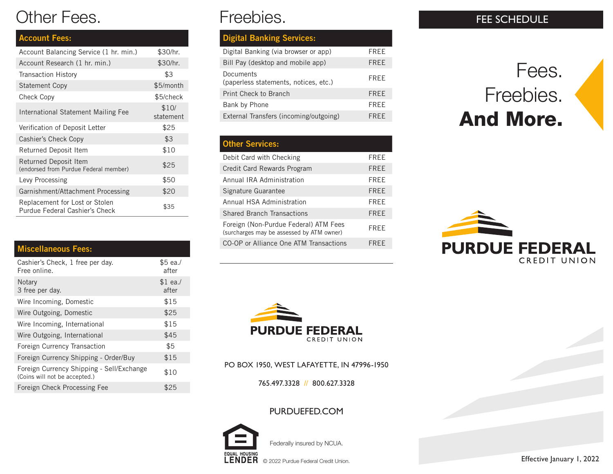# Other Fees.

| <b>Account Fees:</b>                                             |                    |
|------------------------------------------------------------------|--------------------|
| Account Balancing Service (1 hr. min.)                           | \$30/hr.           |
| Account Research (1 hr. min.)                                    | \$30/hr.           |
| <b>Transaction History</b>                                       | \$3                |
| <b>Statement Copy</b>                                            | \$5/month          |
| Check Copy                                                       | \$5/check          |
| International Statement Mailing Fee                              | \$10/<br>statement |
| Verification of Deposit Letter                                   | \$25               |
| Cashier's Check Copy                                             | \$3                |
| Returned Deposit Item                                            | \$10               |
| Returned Deposit Item<br>(endorsed from Purdue Federal member)   | \$25               |
| Levy Processing                                                  | \$50               |
| Garnishment/Attachment Processing                                | \$20               |
| Replacement for Lost or Stolen<br>Purdue Federal Cashier's Check | \$35               |

#### Miscellaneous Fees:

| Cashier's Check, 1 free per day.<br>Free online.                           | \$5 ea./<br>after  |
|----------------------------------------------------------------------------|--------------------|
| Notary<br>3 free per day.                                                  | $$1$ ea./<br>after |
| Wire Incoming, Domestic                                                    | \$15               |
| Wire Outgoing, Domestic                                                    | \$25               |
| Wire Incoming, International                                               | \$15               |
| Wire Outgoing, International                                               | \$45               |
| Foreign Currency Transaction                                               | \$5                |
| Foreign Currency Shipping - Order/Buy                                      | \$15               |
| Foreign Currency Shipping - Sell/Exchange<br>(Coins will not be accepted.) | \$10               |
| Foreign Check Processing Fee                                               | \$25               |

# Freebies.

| <b>Digital Banking Services:</b>                   |             |
|----------------------------------------------------|-------------|
| Digital Banking (via browser or app)               | FREE        |
| Bill Pay (desktop and mobile app)                  | FREE        |
| Documents<br>(paperless statements, notices, etc.) | FREE        |
| Print Check to Branch                              | <b>FREE</b> |
| Bank by Phone                                      | FREE        |
| External Transfers (incoming/outgoing)             | FRFF        |
|                                                    |             |

### Other Services:

| Debit Card with Checking                                                           | FREE        |
|------------------------------------------------------------------------------------|-------------|
| Credit Card Rewards Program                                                        | <b>FREE</b> |
| Annual IRA Administration                                                          | FREE        |
| Signature Guarantee                                                                | <b>FREE</b> |
| Annual HSA Administration                                                          | FRFF        |
| <b>Shared Branch Transactions</b>                                                  | <b>FREE</b> |
| Foreign (Non-Purdue Federal) ATM Fees<br>(surcharges may be assessed by ATM owner) | <b>FRFF</b> |
| CO-OP or Alliance One ATM Transactions                                             | FRFF        |



PO BOX 1950, WEST LAFAYETTE, IN 47996-1950

765.497.3328 // 800.627.3328

PURDUEFED.COM



Federally insured by NCUA.

 $\text{LENDER}$   $\text{\textcircled{\texttt{}}}\otimes$  2022 Purdue Federal Credit Union.

### FEE SCHEDULE

# Fees. Freebies. And More.





Effective January 1, 2022